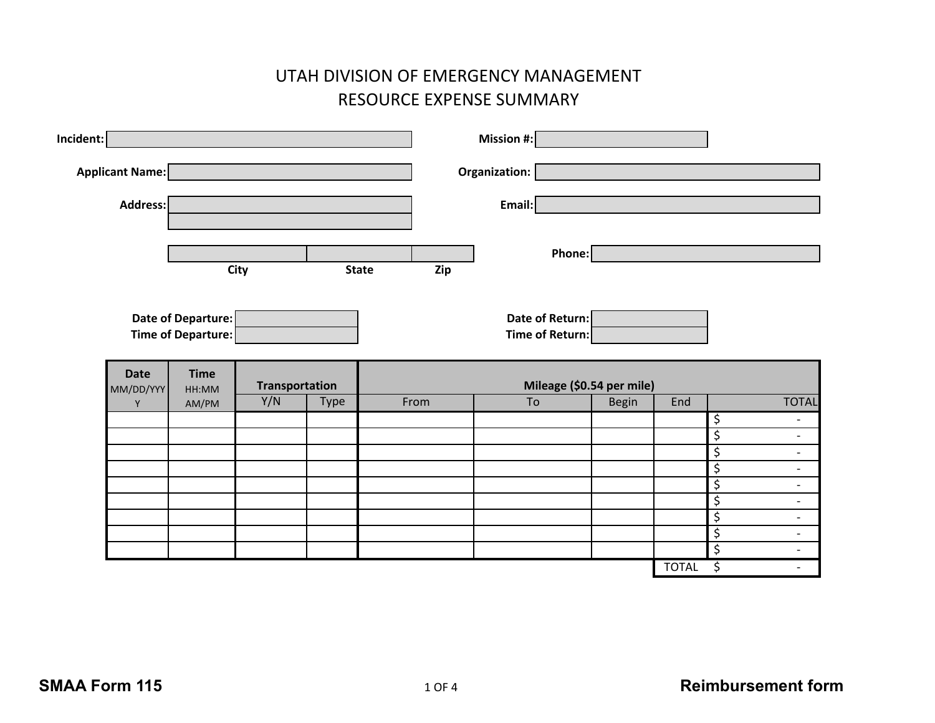## UTAH DIVISION OF EMERGENCY MANAGEMENT RESOURCE EXPENSE SUMMARY

| Incident: |                                                                           |                                          |             |      |                           | Mission #:                         |        |              |                                                                                |
|-----------|---------------------------------------------------------------------------|------------------------------------------|-------------|------|---------------------------|------------------------------------|--------|--------------|--------------------------------------------------------------------------------|
|           | Applicant Name:                                                           |                                          |             |      |                           | Organization:                      |        |              |                                                                                |
|           | Address:                                                                  |                                          |             |      |                           | Email:                             |        |              |                                                                                |
|           |                                                                           |                                          |             |      |                           |                                    |        |              |                                                                                |
|           |                                                                           |                                          | <b>City</b> |      | <b>State</b><br>Zip       |                                    | Phone: |              |                                                                                |
|           |                                                                           |                                          |             |      |                           |                                    |        |              |                                                                                |
|           |                                                                           | Date of Departure:<br>Time of Departure: |             |      |                           | Date of Return:<br>Time of Return: |        |              |                                                                                |
|           | <b>Time</b><br><b>Date</b><br><b>Transportation</b><br>MM/DD/YYY<br>HH:MM |                                          |             |      | Mileage (\$0.54 per mile) |                                    |        |              |                                                                                |
|           | $\mathsf Y$                                                               | AM/PM                                    | Y/N         | Type | From                      | To                                 | Begin  | End          | <b>TOTAL</b>                                                                   |
|           |                                                                           |                                          |             |      |                           |                                    |        |              | $\overline{\mathcal{S}}$<br>$\overline{\phantom{a}}$                           |
|           |                                                                           |                                          |             |      |                           |                                    |        |              | $\overline{\mathcal{S}}$<br>$\overline{\phantom{a}}$                           |
|           |                                                                           |                                          |             |      |                           |                                    |        |              | $\overline{\xi}$<br>$\overline{\phantom{a}}$<br>\$<br>$\overline{\phantom{a}}$ |
|           |                                                                           |                                          |             |      |                           |                                    |        |              | $\overline{\xi}$<br>$\overline{\phantom{a}}$                                   |
|           |                                                                           |                                          |             |      |                           |                                    |        |              | $\overline{\varsigma}$<br>$\overline{\phantom{a}}$                             |
|           |                                                                           |                                          |             |      |                           |                                    |        |              | $\overline{\xi}$<br>$\overline{\phantom{a}}$                                   |
|           |                                                                           |                                          |             |      |                           |                                    |        |              | $\overline{\xi}$<br>$\overline{\phantom{a}}$                                   |
|           |                                                                           |                                          |             |      |                           |                                    |        |              |                                                                                |
|           |                                                                           |                                          |             |      |                           |                                    |        | <b>TOTAL</b> | $\overline{\xi}$<br>$\overline{\phantom{a}}$<br>\$                             |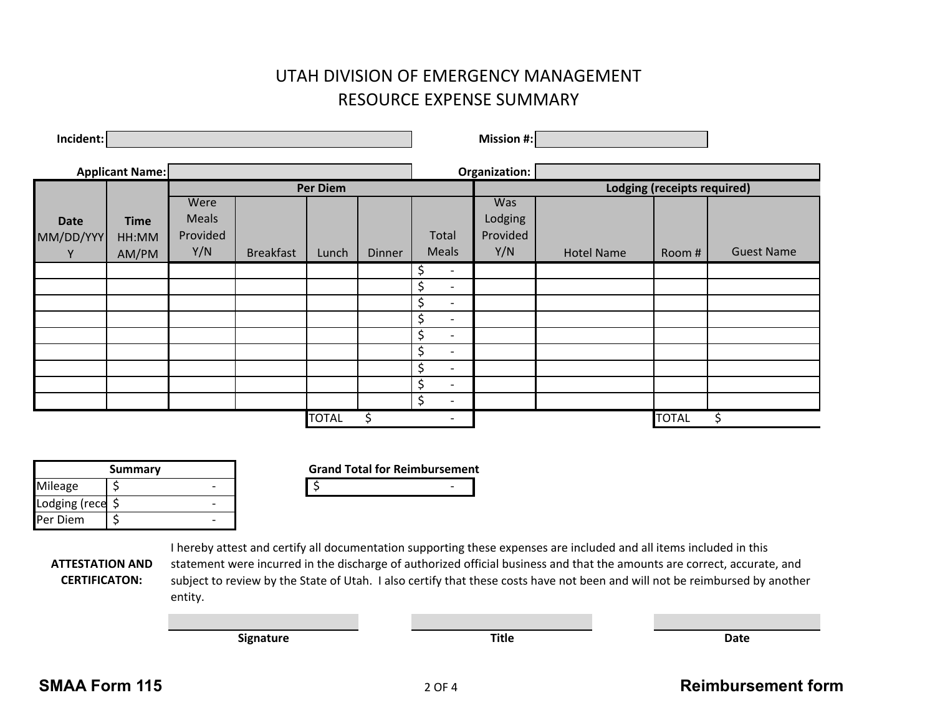## UTAH DIVISION OF EMERGENCY MANAGEMENT RESOURCE EXPENSE SUMMARY

| Incident:                |                      |                          |                  |              |        |                                | <b>Mission #:</b>           |                   |              |                   |
|--------------------------|----------------------|--------------------------|------------------|--------------|--------|--------------------------------|-----------------------------|-------------------|--------------|-------------------|
| <b>Applicant Name:</b>   |                      |                          |                  |              |        | Organization:                  |                             |                   |              |                   |
|                          |                      | Per Diem                 |                  |              |        |                                | Lodging (receipts required) |                   |              |                   |
|                          |                      | Were                     |                  |              |        |                                | <b>Was</b>                  |                   |              |                   |
| <b>Date</b><br>MM/DD/YYY | <b>Time</b><br>HH:MM | <b>Meals</b><br>Provided |                  |              |        | Total                          | Lodging<br>Provided         |                   |              |                   |
| Y                        | AM/PM                | Y/N                      | <b>Breakfast</b> | Lunch        | Dinner | <b>Meals</b>                   | Y/N                         | <b>Hotel Name</b> | Room #       | <b>Guest Name</b> |
|                          |                      |                          |                  |              |        | $\overline{\phantom{a}}$       |                             |                   |              |                   |
|                          |                      |                          |                  |              |        | \$<br>$\overline{\phantom{a}}$ |                             |                   |              |                   |
|                          |                      |                          |                  |              |        | \$<br>$\overline{\phantom{a}}$ |                             |                   |              |                   |
|                          |                      |                          |                  |              |        | \$<br>$\overline{\phantom{a}}$ |                             |                   |              |                   |
|                          |                      |                          |                  |              |        | \$<br>$\overline{\phantom{a}}$ |                             |                   |              |                   |
|                          |                      |                          |                  |              |        | \$<br>$\overline{\phantom{a}}$ |                             |                   |              |                   |
|                          |                      |                          |                  |              |        | \$<br>$\overline{\phantom{0}}$ |                             |                   |              |                   |
|                          |                      |                          |                  |              |        | \$<br>$\overline{\phantom{a}}$ |                             |                   |              |                   |
|                          |                      |                          |                  |              |        | \$<br>$\overline{\phantom{a}}$ |                             |                   |              |                   |
|                          |                      |                          |                  | <b>TOTAL</b> |        | $\overline{\phantom{a}}$       |                             |                   | <b>TOTAL</b> | Ś.                |

| Summary          |  |  |  |  |  |
|------------------|--|--|--|--|--|
| Mileage          |  |  |  |  |  |
| Lodging (rece \$ |  |  |  |  |  |
| <b>Per Diem</b>  |  |  |  |  |  |

**Grand Total for Reimbursement**  $\boldsymbol{\zeta}$  and  $\boldsymbol{\zeta}$  and  $\boldsymbol{\zeta}$  and  $\boldsymbol{\zeta}$ 

**ATTESTATION AND CERTIFICATON:**

I hereby attest and certify all documentation supporting these expenses are included and all items included in this statement were incurred in the discharge of authorized official business and that the amounts are correct, accurate, and subject to review by the State of Utah. I also certify that these costs have not been and will not be reimbursed by another entity. 

| .<br>$\overline{\phantom{a}}$ | ш<br>$ -$ | n.,<br>- - - |
|-------------------------------|-----------|--------------|